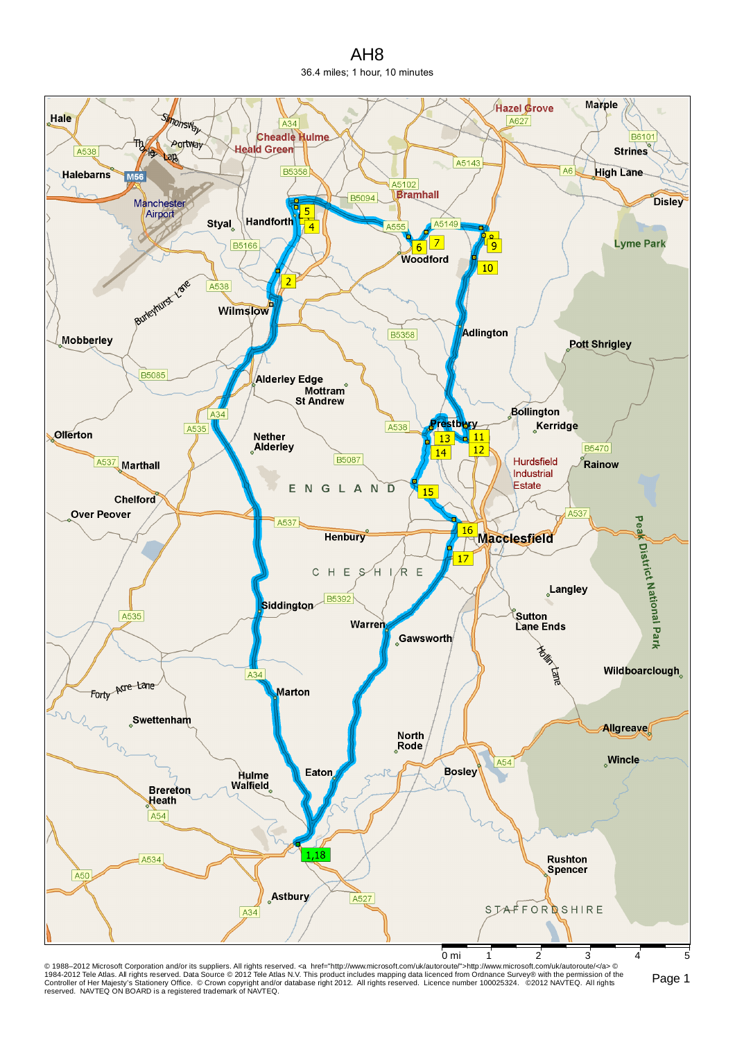AH8 36.4 miles; 1 hour, 10 minutes



© 1988–2012 Microsoft Corporation and/or its suppliers. All rights reserved. ⊲a href="http://www.microsoft.com/uk/autoroute">http://www.microsoft.com/uk/autoroute/⊲a> ©<br>1984-2012 Tele Atlas. All rights reserved. Data Sour reserved. NAVTEQ ON BOARD is a registered trademark of NAVTEQ.

Page 1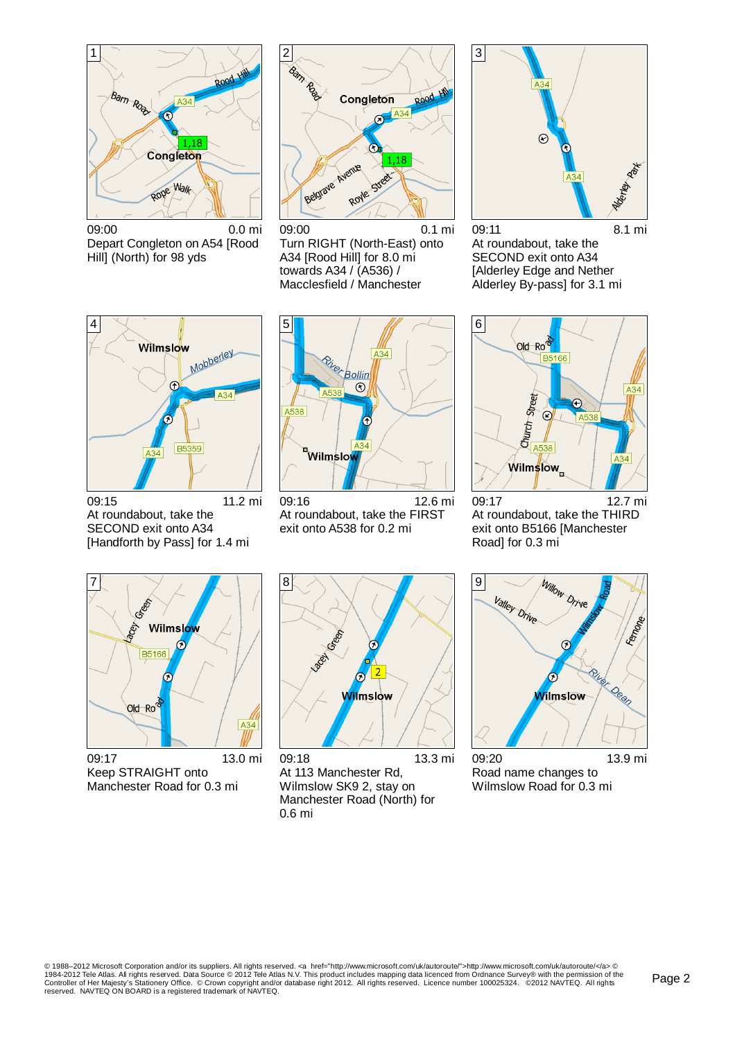

09:00 0.0 mi Depart Congleton on A54 [Rood Hill] (North) for 98 yds



09:00 0.1 mi Turn RIGHT (North-East) onto A34 [Rood Hill] for 8.0 mi towards A34 / (A536) / Macclesfield / Manchester



09:11 8.1 mi At roundabout, take the SECOND exit onto A34 [Alderley Edge and Nether Alderley By-pass] for 3.1 mi



09:15 11.2 mi At roundabout, take the SECOND exit onto A34 [Handforth by Pass] for 1.4 mi



09:16 12.6 mi At roundabout, take the FIRST exit onto A538 for 0.2 mi



09:17 12.7 mi At roundabout, take the THIRD exit onto B5166 [Manchester Road] for 0.3 mi



09:17 13.0 mi Keep STRAIGHT onto Manchester Road for 0.3 mi



09:18 13.3 mi At 113 Manchester Rd, Wilmslow SK9 2, stay on Manchester Road (North) for 0.6 mi



09:20 13.9 mi Road name changes to Wilmslow Road for 0.3 mi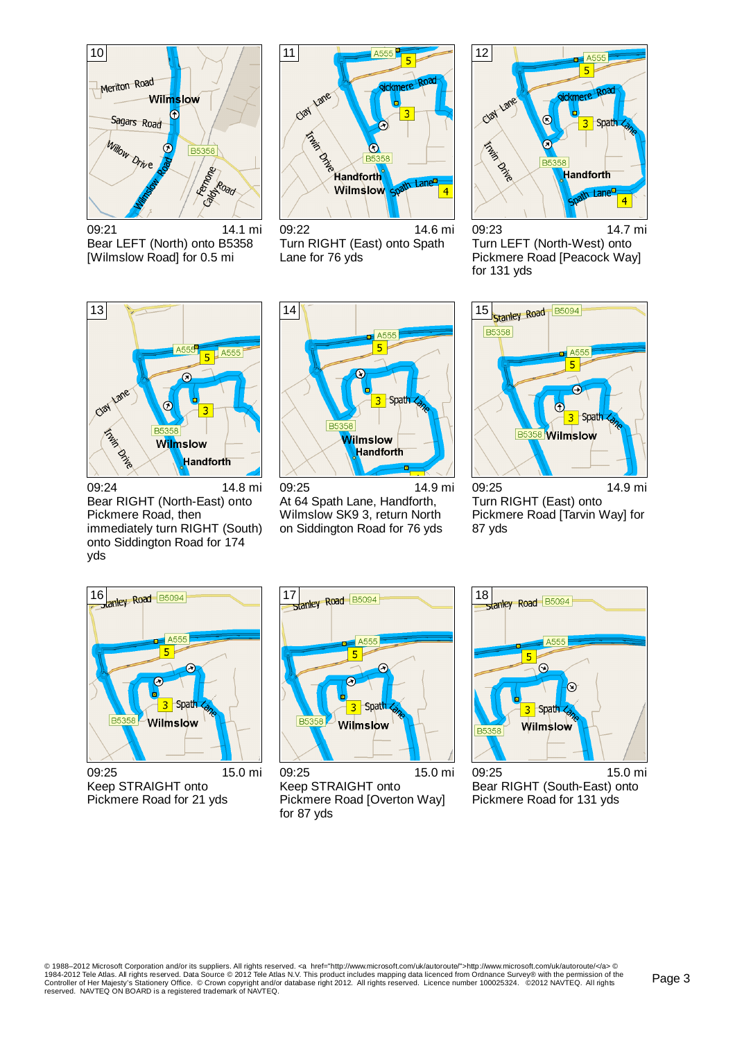

09:21 14.1 mi Bear LEFT (North) onto B5358 [Wilmslow Road] for 0.5 mi



09:22 14.6 mi Turn RIGHT (East) onto Spath Lane for 76 yds



09:23 14.7 mi Turn LEFT (North-West) onto Pickmere Road [Peacock Way] for 131 yds



09:24 14.8 mi Bear RIGHT (North-East) onto Pickmere Road, then immediately turn RIGHT (South) onto Siddington Road for 174 yds



09:25 14.9 mi At 64 Spath Lane, Handforth, Wilmslow SK9 3, return North on Siddington Road for 76 yds



09:25 14.9 mi Turn RIGHT (East) onto Pickmere Road [Tarvin Way] for 87 yds

![](_page_2_Figure_12.jpeg)

09:25 15.0 mi Keep STRAIGHT onto Pickmere Road for 21 yds

![](_page_2_Figure_14.jpeg)

09:25 15.0 mi Keep STRAIGHT onto Pickmere Road [Overton Way] for 87 yds

![](_page_2_Picture_16.jpeg)

09:25 15.0 mi Bear RIGHT (South-East) onto Pickmere Road for 131 yds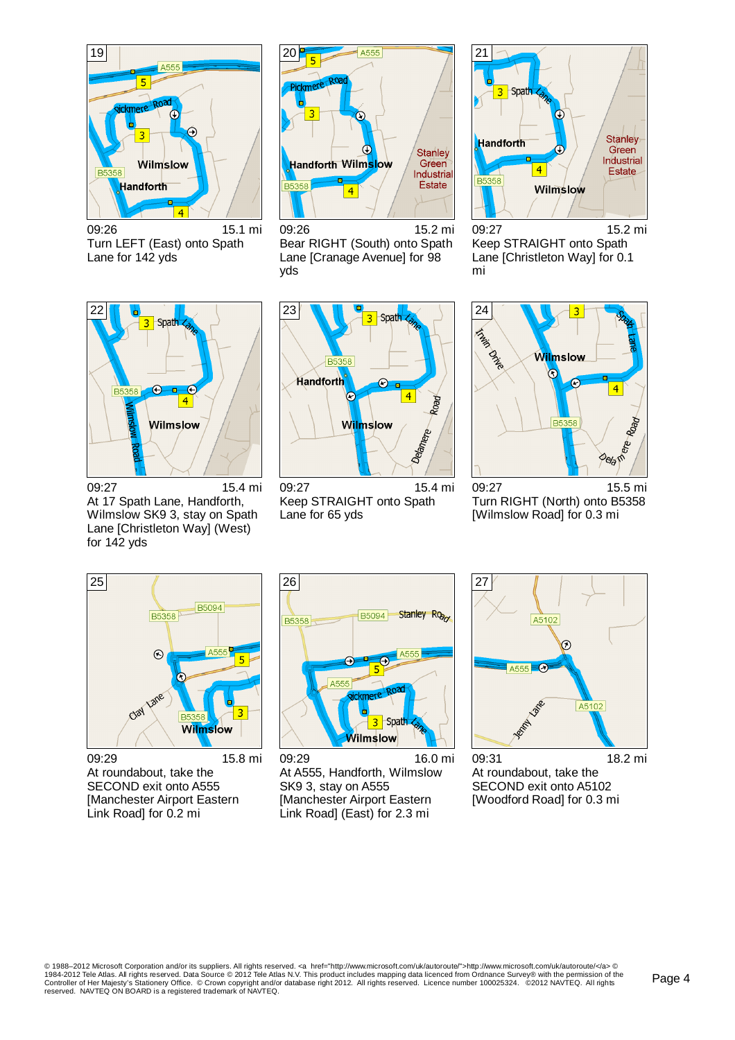![](_page_3_Figure_0.jpeg)

09:26 15.1 mi Turn LEFT (East) onto Spath Lane for 142 yds

![](_page_3_Figure_2.jpeg)

09:26 15.2 mi Bear RIGHT (South) onto Spath Lane [Cranage Avenue] for 98 yds

![](_page_3_Figure_4.jpeg)

09:27 15.2 mi Keep STRAIGHT onto Spath Lane [Christleton Way] for 0.1 mi

![](_page_3_Figure_6.jpeg)

09:27 15.4 mi At 17 Spath Lane, Handforth, Wilmslow SK9 3, stay on Spath Lane [Christleton Way] (West) for 142 yds

![](_page_3_Figure_8.jpeg)

09:27 15.4 mi Keep STRAIGHT onto Spath Lane for 65 yds

![](_page_3_Figure_10.jpeg)

09:27 15.5 mi Turn RIGHT (North) onto B5358 [Wilmslow Road] for 0.3 mi

![](_page_3_Picture_12.jpeg)

09:29 15.8 mi At roundabout, take the SECOND exit onto A555 [Manchester Airport Eastern Link Road] for 0.2 mi

![](_page_3_Picture_14.jpeg)

09:29 16.0 mi At A555, Handforth, Wilmslow SK9 3, stay on A555 [Manchester Airport Eastern Link Road] (East) for 2.3 mi

![](_page_3_Figure_16.jpeg)

09:31 18.2 mi At roundabout, take the SECOND exit onto A5102 [Woodford Road] for 0.3 mi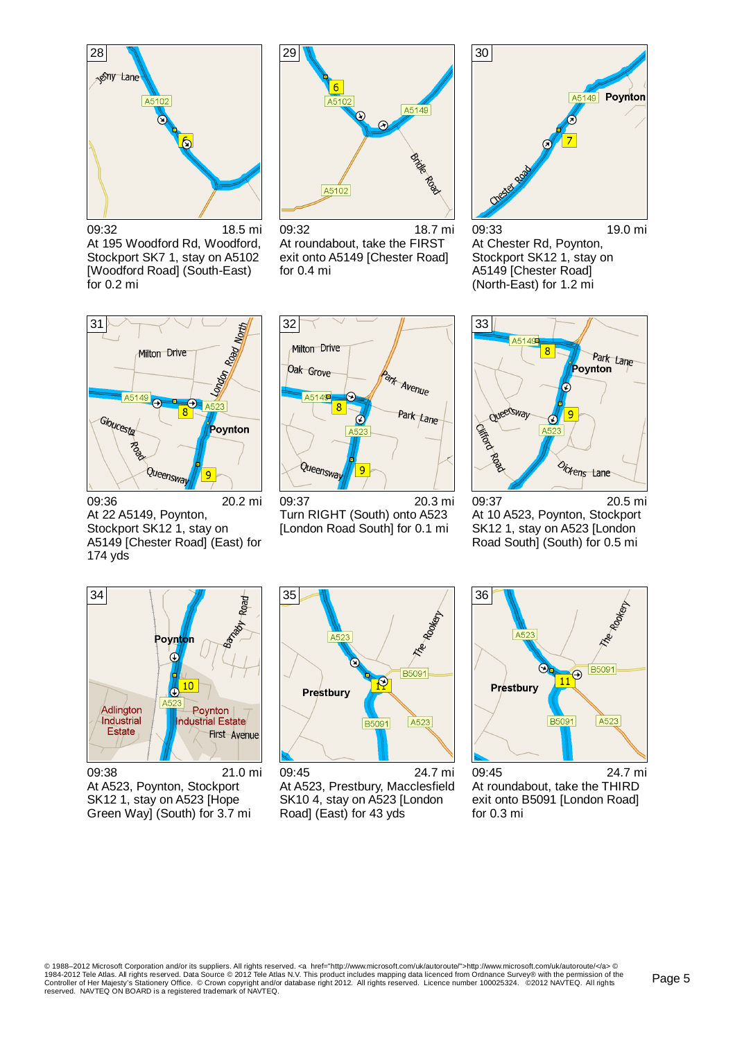![](_page_4_Picture_0.jpeg)

09:32 18.5 mi At 195 Woodford Rd, Woodford, Stockport SK7 1, stay on A5102 [Woodford Road] (South-East) for 0.2 mi

![](_page_4_Picture_2.jpeg)

09:32 18.7 mi At roundabout, take the FIRST exit onto A5149 [Chester Road] for 0.4 mi

![](_page_4_Picture_4.jpeg)

09:33 19.0 mi At Chester Rd, Poynton, Stockport SK12 1, stay on A5149 [Chester Road] (North-East) for 1.2 mi

![](_page_4_Figure_6.jpeg)

09:36 20.2 mi At 22 A5149, Poynton, Stockport SK12<sub>1</sub>, stay on A5149 [Chester Road] (East) for 174 yds

![](_page_4_Figure_8.jpeg)

09:37 20.3 mi Turn RIGHT (South) onto A523 [London Road South] for 0.1 mi

![](_page_4_Figure_10.jpeg)

09:37 20.5 mi At 10 A523, Poynton, Stockport SK12 1, stay on A523 [London Road South] (South) for 0.5 mi

![](_page_4_Figure_12.jpeg)

09:38 21.0 mi At A523, Poynton, Stockport SK12 1, stay on A523 [Hope Green Way] (South) for 3.7 mi

![](_page_4_Figure_14.jpeg)

09:45 24.7 mi At A523, Prestbury, Macclesfield SK10 4, stay on A523 [London Road] (East) for 43 yds

![](_page_4_Figure_16.jpeg)

<sup>09:45</sup> 24.7 mi At roundabout, take the THIRD exit onto B5091 [London Road] for 0.3 mi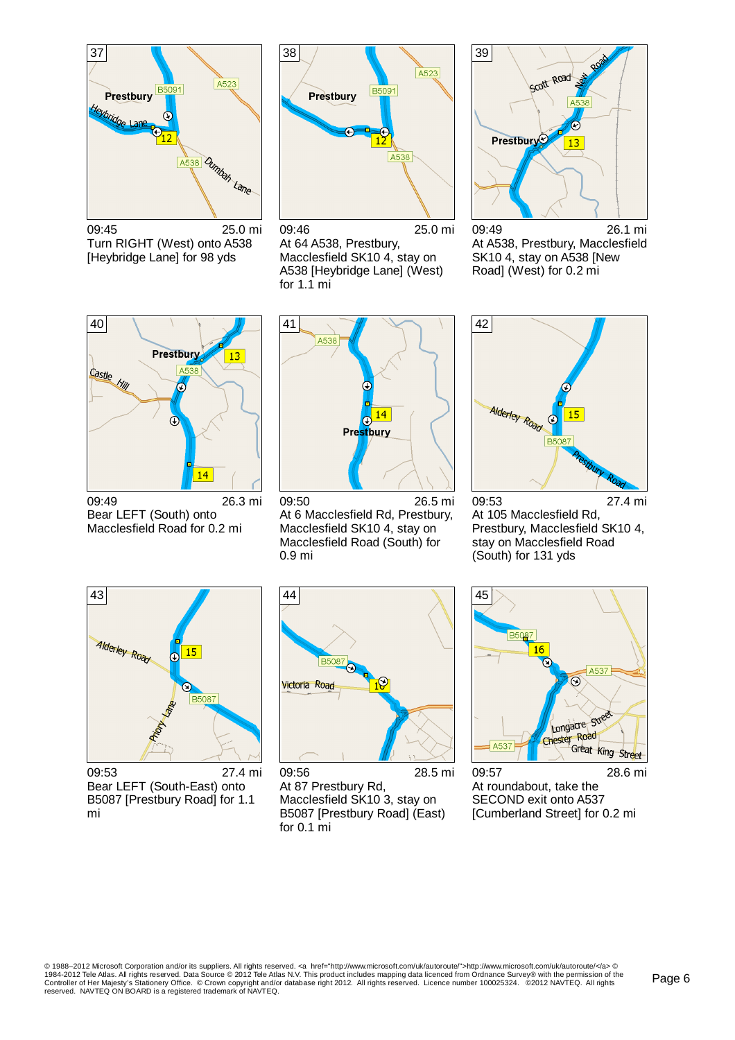![](_page_5_Picture_0.jpeg)

09:45 25.0 mi Turn RIGHT (West) onto A538 [Heybridge Lane] for 98 yds

![](_page_5_Figure_2.jpeg)

09:46 25.0 mi At 64 A538, Prestbury, Macclesfield SK10 4, stay on A538 [Heybridge Lane] (West) for 1.1 mi

![](_page_5_Figure_4.jpeg)

09:49 26.1 mi At A538, Prestbury, Macclesfield SK10 4, stay on A538 [New Road] (West) for 0.2 mi

![](_page_5_Figure_6.jpeg)

09:49 26.3 mi Bear LEFT (South) onto Macclesfield Road for 0.2 mi

![](_page_5_Figure_8.jpeg)

09:50 26.5 mi At 6 Macclesfield Rd, Prestbury, Macclesfield SK10 4, stay on Macclesfield Road (South) for 0.9 mi

42 Alderley Road 15  $\circledcirc$ **B508** 

09:53 27.4 mi At 105 Macclesfield Rd, Prestbury, Macclesfield SK10 4, stay on Macclesfield Road (South) for 131 yds

![](_page_5_Figure_12.jpeg)

09:53 27.4 mi Bear LEFT (South-East) onto B5087 [Prestbury Road] for 1.1 mi

![](_page_5_Picture_14.jpeg)

09:56 28.5 mi At 87 Prestbury Rd, Macclesfield SK10 3, stay on B5087 [Prestbury Road] (East) for 0.1 mi

![](_page_5_Picture_16.jpeg)

09:57 28.6 mi At roundabout, take the SECOND exit onto A537 [Cumberland Street] for 0.2 mi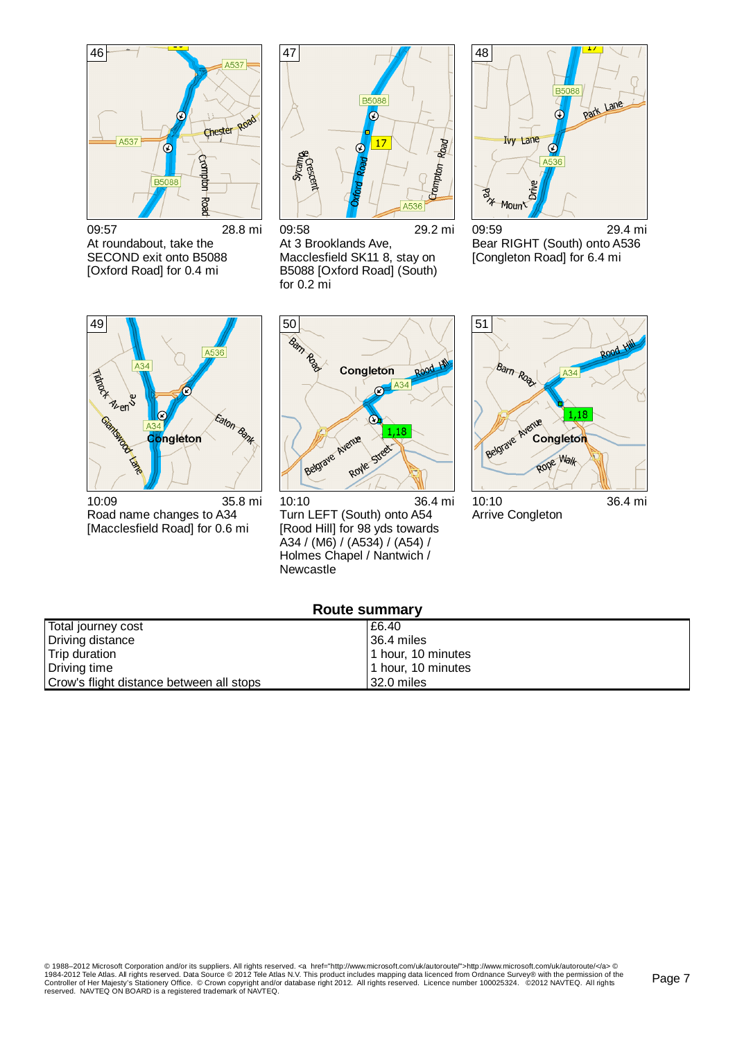![](_page_6_Figure_0.jpeg)

09:57 28.8 mi At roundabout, take the SECOND exit onto B5088 [Oxford Road] for 0.4 mi

![](_page_6_Picture_2.jpeg)

09:58 29.2 mi At 3 Brooklands Ave, Macclesfield SK11 8, stay on B5088 [Oxford Road] (South) for 0.2 mi

![](_page_6_Figure_4.jpeg)

09:59 29.4 mi Bear RIGHT (South) onto A536 [Congleton Road] for 6.4 mi

![](_page_6_Figure_6.jpeg)

10:09 35.8 mi Road name changes to A34 [Macclesfield Road] for 0.6 mi

![](_page_6_Figure_8.jpeg)

10:10 36.4 mi Turn LEFT (South) onto A54 [Rood Hill] for 98 yds towards A34 / (M6) / (A534) / (A54) / Holmes Chapel / Nantwich / Newcastle

![](_page_6_Figure_10.jpeg)

Arrive Congleton

## **Route summary**

| Total journey cost                       | £6.40              |
|------------------------------------------|--------------------|
| Driving distance                         | 36.4 miles         |
| Trip duration                            | 1 hour, 10 minutes |
| Driving time                             | 1 hour. 10 minutes |
| Crow's flight distance between all stops | 32.0 miles         |